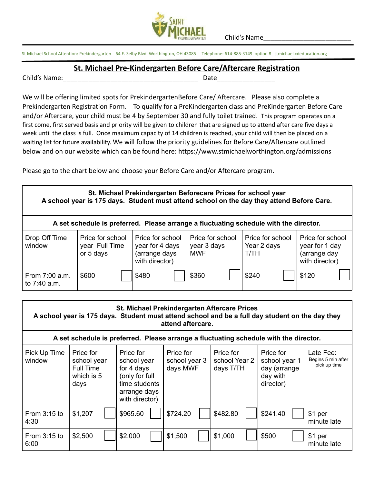

Child's Name\_\_\_\_\_\_\_\_\_\_\_\_\_\_\_\_\_\_\_\_\_\_\_\_

St Michael School Attention: Prekindergarten 64 E. Selby Blvd. Worthington, OH 43085 Telephone: 614-885-3149 option 8 stmichael.cdeducation.org

## **St. Michael Pre-Kindergarten Before Care/Aftercare Registration**

Child's Name: The Date of the United States of the United States of the United States of the United States of the U

We will be offering limited spots for PrekindergartenBefore Care/ Aftercare. Please also complete a Prekindergarten Registration Form. To qualify for a PreKindergarten class and PreKindergarten Before Care and/or Aftercare, your child must be 4 by September 30 and fully toilet trained. This program operates on a first come, first served basis and priority will be given to children that are signed up to attend after care five days a week until the class is full. Once maximum capacity of 14 children is reached, your child will then be placed on a waiting list for future availability. We will follow the priority guidelines for Before Care/Aftercare outlined below and on our website which can be found here: https://www.stmichaelworthington.org/admissions

Please go to the chart below and choose your Before Care and/or Aftercare program.

| St. Michael Prekindergarten Beforecare Prices for school year<br>A school year is 175 days. Student must attend school on the day they attend Before Care. |                                                 |                                                                        |                                               |                                         |                                                                      |  |  |  |  |  |  |
|------------------------------------------------------------------------------------------------------------------------------------------------------------|-------------------------------------------------|------------------------------------------------------------------------|-----------------------------------------------|-----------------------------------------|----------------------------------------------------------------------|--|--|--|--|--|--|
| A set schedule is preferred. Please arrange a fluctuating schedule with the director.                                                                      |                                                 |                                                                        |                                               |                                         |                                                                      |  |  |  |  |  |  |
| Drop Off Time<br>window                                                                                                                                    | Price for school<br>year Full Time<br>or 5 days | Price for school<br>year for 4 days<br>(arrange days<br>with director) | Price for school<br>year 3 days<br><b>MWF</b> | Price for school<br>Year 2 days<br>T/TH | Price for school<br>year for 1 day<br>(arrange day<br>with director) |  |  |  |  |  |  |
| From 7:00 a.m.<br>to $7:40$ a.m.                                                                                                                           | \$600                                           | \$480                                                                  | \$360                                         | \$240                                   | \$120                                                                |  |  |  |  |  |  |

| <b>St. Michael Prekindergarten Aftercare Prices</b><br>A school year is 175 days. Student must attend school and be a full day student on the day they<br>attend aftercare. |                                                             |                                                                                                             |                                        |                                         |                                                                     |                                                 |  |  |  |  |  |
|-----------------------------------------------------------------------------------------------------------------------------------------------------------------------------|-------------------------------------------------------------|-------------------------------------------------------------------------------------------------------------|----------------------------------------|-----------------------------------------|---------------------------------------------------------------------|-------------------------------------------------|--|--|--|--|--|
| A set schedule is preferred. Please arrange a fluctuating schedule with the director.                                                                                       |                                                             |                                                                                                             |                                        |                                         |                                                                     |                                                 |  |  |  |  |  |
| Pick Up Time<br>window                                                                                                                                                      | Price for<br>school year<br>Full Time<br>which is 5<br>days | Price for<br>school year<br>for 4 days<br>(only for full<br>time students<br>arrange days<br>with director) | Price for<br>school year 3<br>days MWF | Price for<br>school Year 2<br>days T/TH | Price for<br>school year 1<br>day (arrange<br>day with<br>director) | Late Fee:<br>Begins 5 min after<br>pick up time |  |  |  |  |  |
| From $3:15$ to<br>4:30                                                                                                                                                      | \$1,207                                                     | \$965.60                                                                                                    | \$724.20                               | \$482.80                                | \$241.40                                                            | \$1 per<br>minute late                          |  |  |  |  |  |
| From $3:15$ to<br>6:00                                                                                                                                                      | \$2,500                                                     | \$2,000                                                                                                     | \$1,500                                | \$1,000                                 | \$500                                                               | \$1 per<br>minute late                          |  |  |  |  |  |